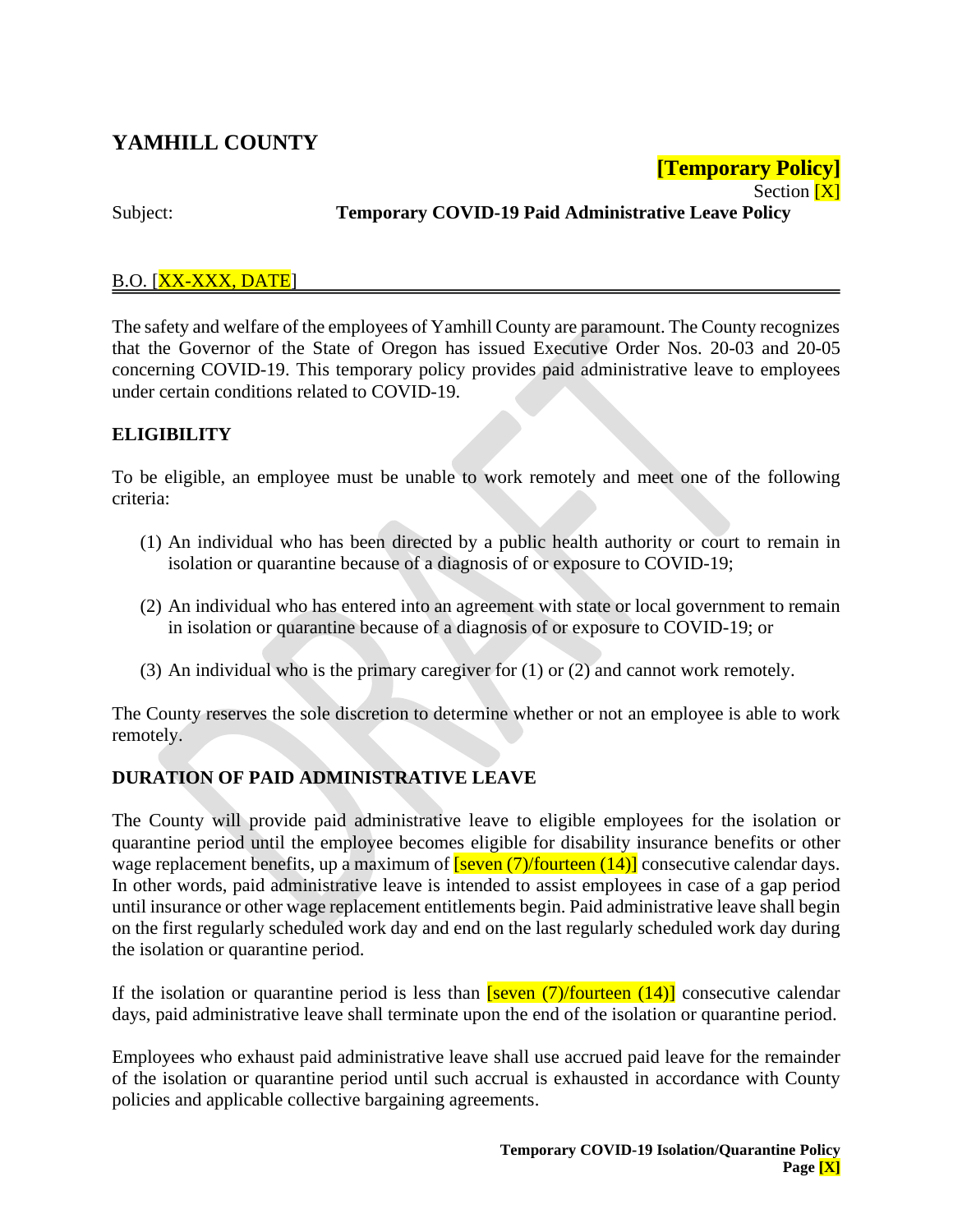# **YAMHILL COUNTY**

#### Section  $[X]$ Subject: **Temporary COVID-19 Paid Administrative Leave Policy**

**[Temporary Policy]**

## B.O. [XX-XXX, DATE]

The safety and welfare of the employees of Yamhill County are paramount. The County recognizes that the Governor of the State of Oregon has issued Executive Order Nos. 20-03 and 20-05 concerning COVID-19. This temporary policy provides paid administrative leave to employees under certain conditions related to COVID-19.

## **ELIGIBILITY**

To be eligible, an employee must be unable to work remotely and meet one of the following criteria:

- (1) An individual who has been directed by a public health authority or court to remain in isolation or quarantine because of a diagnosis of or exposure to COVID-19;
- (2) An individual who has entered into an agreement with state or local government to remain in isolation or quarantine because of a diagnosis of or exposure to COVID-19; or
- (3) An individual who is the primary caregiver for (1) or (2) and cannot work remotely.

The County reserves the sole discretion to determine whether or not an employee is able to work remotely.

# **DURATION OF PAID ADMINISTRATIVE LEAVE**

The County will provide paid administrative leave to eligible employees for the isolation or quarantine period until the employee becomes eligible for disability insurance benefits or other wage replacement benefits, up a maximum of  $\frac{\text{[seven (7)/fourteen (14)]}}{\text{1}}$  consecutive calendar days. In other words, paid administrative leave is intended to assist employees in case of a gap period until insurance or other wage replacement entitlements begin. Paid administrative leave shall begin on the first regularly scheduled work day and end on the last regularly scheduled work day during the isolation or quarantine period.

If the isolation or quarantine period is less than  $\frac{\text{[seven (7)/fourteen (14)]}}{\text{14}}$  consecutive calendar days, paid administrative leave shall terminate upon the end of the isolation or quarantine period.

Employees who exhaust paid administrative leave shall use accrued paid leave for the remainder of the isolation or quarantine period until such accrual is exhausted in accordance with County policies and applicable collective bargaining agreements.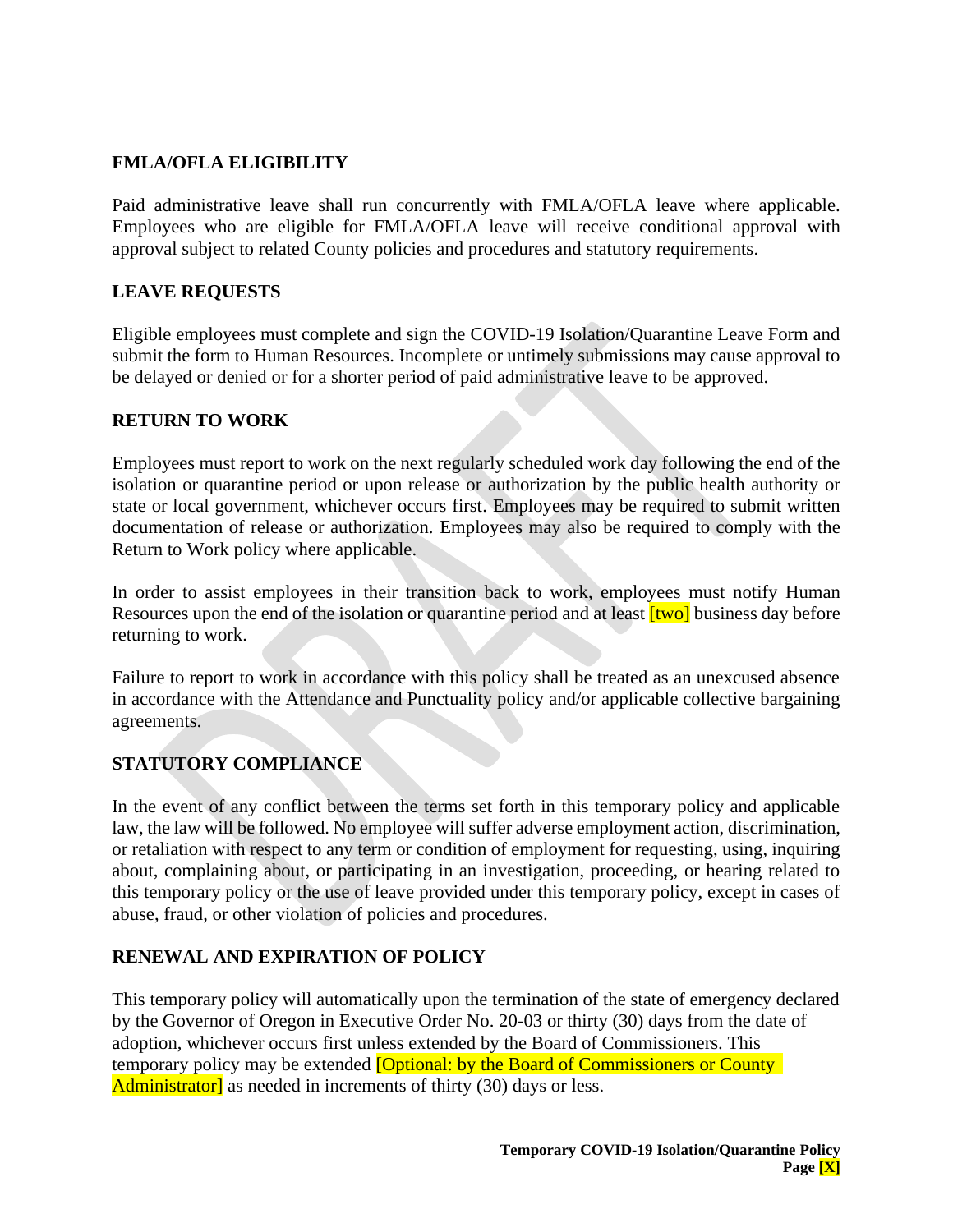## **FMLA/OFLA ELIGIBILITY**

Paid administrative leave shall run concurrently with FMLA/OFLA leave where applicable. Employees who are eligible for FMLA/OFLA leave will receive conditional approval with approval subject to related County policies and procedures and statutory requirements.

## **LEAVE REQUESTS**

Eligible employees must complete and sign the COVID-19 Isolation/Quarantine Leave Form and submit the form to Human Resources. Incomplete or untimely submissions may cause approval to be delayed or denied or for a shorter period of paid administrative leave to be approved.

#### **RETURN TO WORK**

Employees must report to work on the next regularly scheduled work day following the end of the isolation or quarantine period or upon release or authorization by the public health authority or state or local government, whichever occurs first. Employees may be required to submit written documentation of release or authorization. Employees may also be required to comply with the Return to Work policy where applicable.

In order to assist employees in their transition back to work, employees must notify Human Resources upon the end of the isolation or quarantine period and at least **[two]** business day before returning to work.

Failure to report to work in accordance with this policy shall be treated as an unexcused absence in accordance with the Attendance and Punctuality policy and/or applicable collective bargaining agreements.

# **STATUTORY COMPLIANCE**

In the event of any conflict between the terms set forth in this temporary policy and applicable law, the law will be followed. No employee will suffer adverse employment action, discrimination, or retaliation with respect to any term or condition of employment for requesting, using, inquiring about, complaining about, or participating in an investigation, proceeding, or hearing related to this temporary policy or the use of leave provided under this temporary policy, except in cases of abuse, fraud, or other violation of policies and procedures.

## **RENEWAL AND EXPIRATION OF POLICY**

This temporary policy will automatically upon the termination of the state of emergency declared by the Governor of Oregon in Executive Order No. 20-03 or thirty (30) days from the date of adoption, whichever occurs first unless extended by the Board of Commissioners. This temporary policy may be extended **[Optional: by the Board of Commissioners or County** Administrator] as needed in increments of thirty (30) days or less.